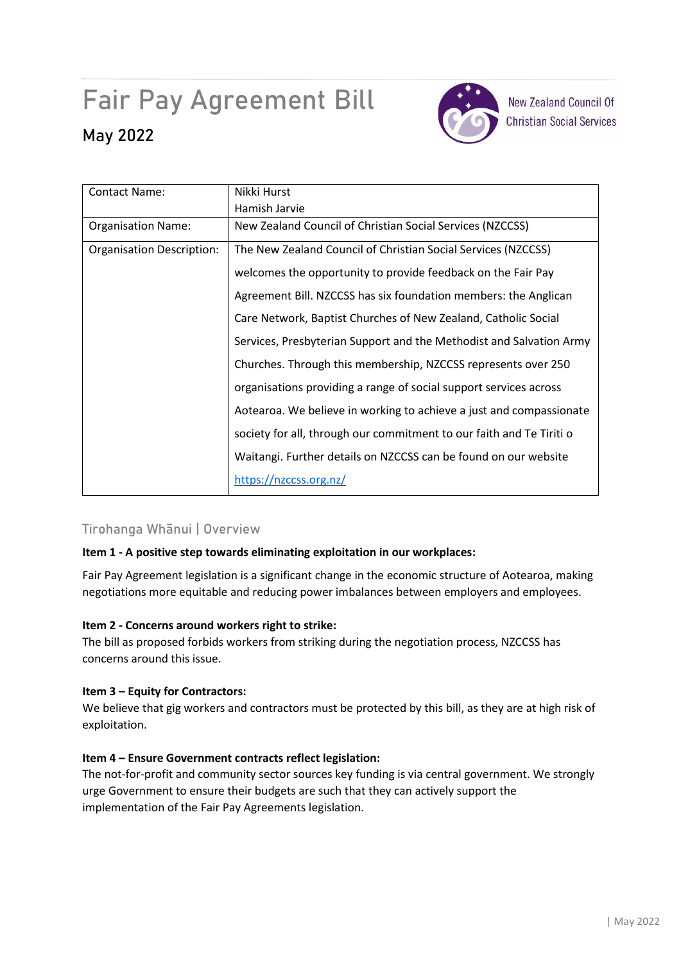# Fair Pay Agreement Bill

## **May 2022**



**New Zealand Council Of Christian Social Services** 

| <b>Contact Name:</b>             | Nikki Hurst                                                          |
|----------------------------------|----------------------------------------------------------------------|
|                                  | Hamish Jarvie                                                        |
| <b>Organisation Name:</b>        | New Zealand Council of Christian Social Services (NZCCSS)            |
| <b>Organisation Description:</b> | The New Zealand Council of Christian Social Services (NZCCSS)        |
|                                  | welcomes the opportunity to provide feedback on the Fair Pay         |
|                                  | Agreement Bill. NZCCSS has six foundation members: the Anglican      |
|                                  | Care Network, Baptist Churches of New Zealand, Catholic Social       |
|                                  | Services, Presbyterian Support and the Methodist and Salvation Army  |
|                                  | Churches. Through this membership, NZCCSS represents over 250        |
|                                  | organisations providing a range of social support services across    |
|                                  | Aotearoa. We believe in working to achieve a just and compassionate  |
|                                  | society for all, through our commitment to our faith and Te Tiriti o |
|                                  | Waitangi. Further details on NZCCSS can be found on our website      |
|                                  | https://nzccss.org.nz/                                               |

## Tirohanga Whānui | Overview

## **Item 1 - A positive step towards eliminating exploitation in our workplaces:**

Fair Pay Agreement legislation is a significant change in the economic structure of Aotearoa, making negotiations more equitable and reducing power imbalances between employers and employees.

#### **Item 2 - Concerns around workers right to strike:**

The bill as proposed forbids workers from striking during the negotiation process, NZCCSS has concerns around this issue.

#### **Item 3 – Equity for Contractors:**

We believe that gig workers and contractors must be protected by this bill, as they are at high risk of exploitation.

## **Item 4 – Ensure Government contracts reflect legislation:**

The not-for-profit and community sector sources key funding is via central government. We strongly urge Government to ensure their budgets are such that they can actively support the implementation of the Fair Pay Agreements legislation.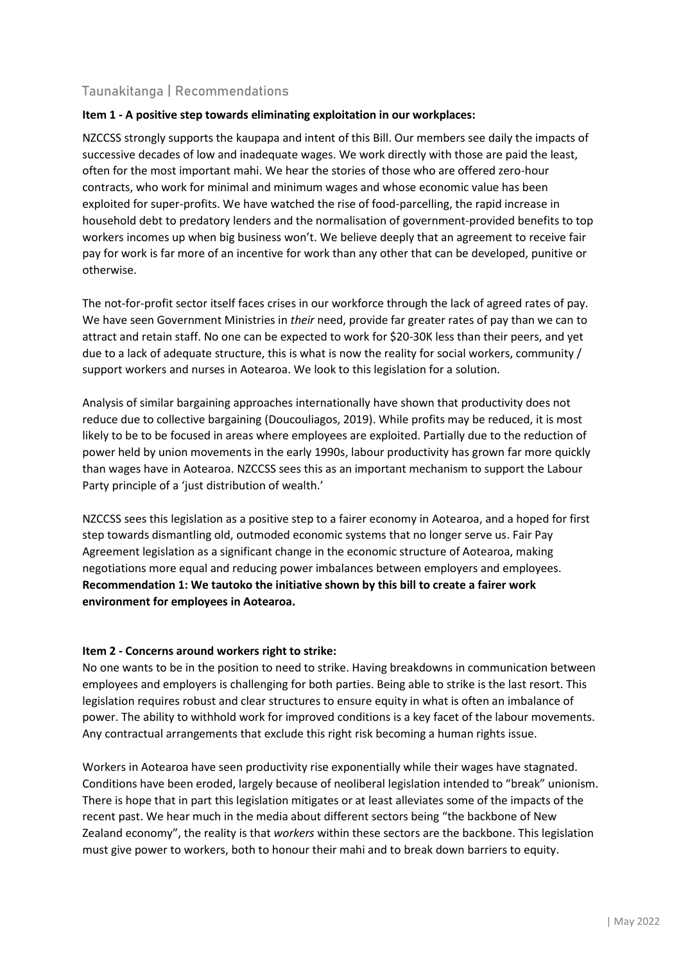## Taunakitanga | Recommendations

### **Item 1 - A positive step towards eliminating exploitation in our workplaces:**

NZCCSS strongly supports the kaupapa and intent of this Bill. Our members see daily the impacts of successive decades of low and inadequate wages. We work directly with those are paid the least, often for the most important mahi. We hear the stories of those who are offered zero-hour contracts, who work for minimal and minimum wages and whose economic value has been exploited for super-profits. We have watched the rise of food-parcelling, the rapid increase in household debt to predatory lenders and the normalisation of government-provided benefits to top workers incomes up when big business won't. We believe deeply that an agreement to receive fair pay for work is far more of an incentive for work than any other that can be developed, punitive or otherwise.

The not-for-profit sector itself faces crises in our workforce through the lack of agreed rates of pay. We have seen Government Ministries in *their* need, provide far greater rates of pay than we can to attract and retain staff. No one can be expected to work for \$20-30K less than their peers, and yet due to a lack of adequate structure, this is what is now the reality for social workers, community / support workers and nurses in Aotearoa. We look to this legislation for a solution.

Analysis of similar bargaining approaches internationally have shown that productivity does not reduce due to collective bargaining (Doucouliagos, 2019). While profits may be reduced, it is most likely to be to be focused in areas where employees are exploited. Partially due to the reduction of power held by union movements in the early 1990s, labour productivity has grown far more quickly than wages have in Aotearoa. NZCCSS sees this as an important mechanism to support the Labour Party principle of a 'just distribution of wealth.'

NZCCSS sees this legislation as a positive step to a fairer economy in Aotearoa, and a hoped for first step towards dismantling old, outmoded economic systems that no longer serve us. Fair Pay Agreement legislation as a significant change in the economic structure of Aotearoa, making negotiations more equal and reducing power imbalances between employers and employees. **Recommendation 1: We tautoko the initiative shown by this bill to create a fairer work environment for employees in Aotearoa.** 

#### **Item 2 - Concerns around workers right to strike:**

No one wants to be in the position to need to strike. Having breakdowns in communication between employees and employers is challenging for both parties. Being able to strike is the last resort. This legislation requires robust and clear structures to ensure equity in what is often an imbalance of power. The ability to withhold work for improved conditions is a key facet of the labour movements. Any contractual arrangements that exclude this right risk becoming a human rights issue.

Workers in Aotearoa have seen productivity rise exponentially while their wages have stagnated. Conditions have been eroded, largely because of neoliberal legislation intended to "break" unionism. There is hope that in part this legislation mitigates or at least alleviates some of the impacts of the recent past. We hear much in the media about different sectors being "the backbone of New Zealand economy", the reality is that *workers* within these sectors are the backbone. This legislation must give power to workers, both to honour their mahi and to break down barriers to equity.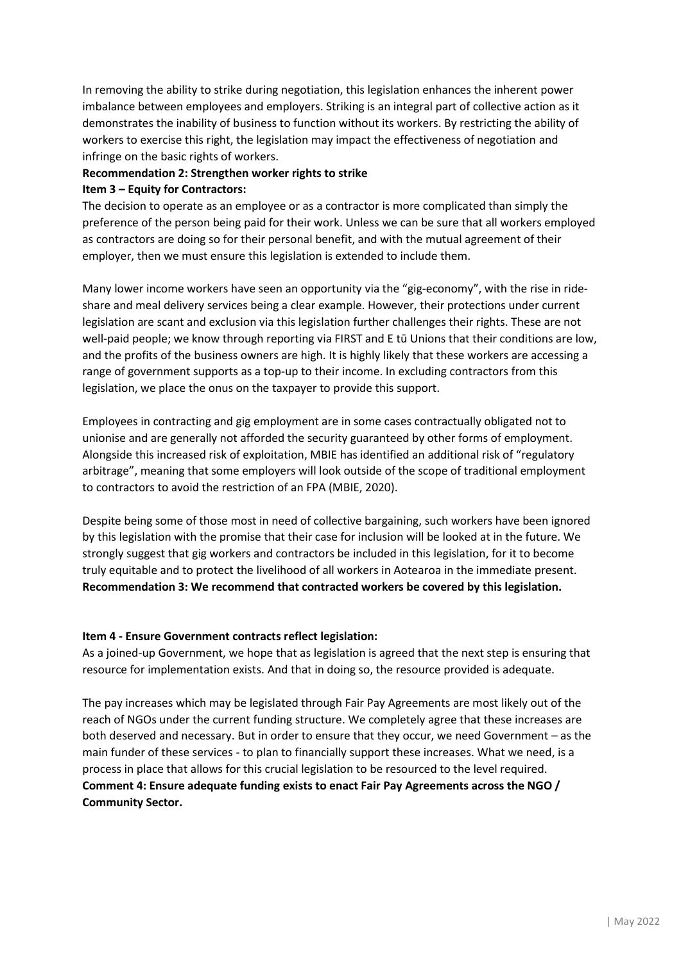In removing the ability to strike during negotiation, this legislation enhances the inherent power imbalance between employees and employers. Striking is an integral part of collective action as it demonstrates the inability of business to function without its workers. By restricting the ability of workers to exercise this right, the legislation may impact the effectiveness of negotiation and infringe on the basic rights of workers.

## **Recommendation 2: Strengthen worker rights to strike Item 3 – Equity for Contractors:**

The decision to operate as an employee or as a contractor is more complicated than simply the preference of the person being paid for their work. Unless we can be sure that all workers employed as contractors are doing so for their personal benefit, and with the mutual agreement of their employer, then we must ensure this legislation is extended to include them.

Many lower income workers have seen an opportunity via the "gig-economy", with the rise in rideshare and meal delivery services being a clear example. However, their protections under current legislation are scant and exclusion via this legislation further challenges their rights. These are not well-paid people; we know through reporting via FIRST and E tū Unions that their conditions are low, and the profits of the business owners are high. It is highly likely that these workers are accessing a range of government supports as a top-up to their income. In excluding contractors from this legislation, we place the onus on the taxpayer to provide this support.

Employees in contracting and gig employment are in some cases contractually obligated not to unionise and are generally not afforded the security guaranteed by other forms of employment. Alongside this increased risk of exploitation, MBIE has identified an additional risk of "regulatory arbitrage", meaning that some employers will look outside of the scope of traditional employment to contractors to avoid the restriction of an FPA (MBIE, 2020).

Despite being some of those most in need of collective bargaining, such workers have been ignored by this legislation with the promise that their case for inclusion will be looked at in the future. We strongly suggest that gig workers and contractors be included in this legislation, for it to become truly equitable and to protect the livelihood of all workers in Aotearoa in the immediate present. **Recommendation 3: We recommend that contracted workers be covered by this legislation.**

## **Item 4 - Ensure Government contracts reflect legislation:**

As a joined-up Government, we hope that as legislation is agreed that the next step is ensuring that resource for implementation exists. And that in doing so, the resource provided is adequate.

The pay increases which may be legislated through Fair Pay Agreements are most likely out of the reach of NGOs under the current funding structure. We completely agree that these increases are both deserved and necessary. But in order to ensure that they occur, we need Government – as the main funder of these services - to plan to financially support these increases. What we need, is a process in place that allows for this crucial legislation to be resourced to the level required. **Comment 4: Ensure adequate funding exists to enact Fair Pay Agreements across the NGO / Community Sector.**